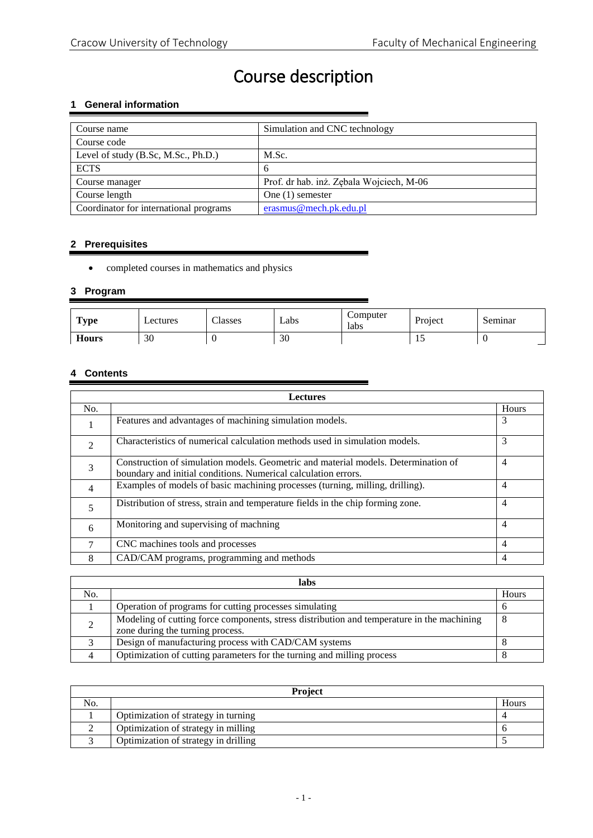# Course description

# **1 General information**

| Course name                            | Simulation and CNC technology            |
|----------------------------------------|------------------------------------------|
| Course code                            |                                          |
| Level of study (B.Sc, M.Sc., Ph.D.)    | M.Sc.                                    |
| <b>ECTS</b>                            | 6                                        |
| Course manager                         | Prof. dr hab. inż. Zębala Wojciech, M-06 |
| Course length                          | One $(1)$ semester                       |
| Coordinator for international programs | erasmus@mech.pk.edu.pl                   |

# **2 Prerequisites**

completed courses in mathematics and physics

## **3 Program**

| <b>Type</b>  | Lectures | $\sim$<br><b>Classes</b> | ∟abs | Computer<br>labs | Project | Seminar |
|--------------|----------|--------------------------|------|------------------|---------|---------|
| <b>Hours</b> | 30       |                          | 30   |                  |         |         |

# **4 Contents**

| <b>Lectures</b> |                                                                                                                                                      |                |  |  |
|-----------------|------------------------------------------------------------------------------------------------------------------------------------------------------|----------------|--|--|
| No.             |                                                                                                                                                      | <b>Hours</b>   |  |  |
| 1               | Features and advantages of machining simulation models.                                                                                              | 3              |  |  |
| $\mathfrak{D}$  | Characteristics of numerical calculation methods used in simulation models.                                                                          | 3              |  |  |
| 3               | Construction of simulation models. Geometric and material models. Determination of<br>boundary and initial conditions. Numerical calculation errors. | $\overline{4}$ |  |  |
| 4               | Examples of models of basic machining processes (turning, milling, drilling).                                                                        | 4              |  |  |
| 5               | Distribution of stress, strain and temperature fields in the chip forming zone.                                                                      | $\overline{4}$ |  |  |
| 6               | Monitoring and supervising of machning                                                                                                               | $\overline{4}$ |  |  |
| 7               | CNC machines tools and processes                                                                                                                     | $\overline{4}$ |  |  |
| 8               | CAD/CAM programs, programming and methods                                                                                                            | 4              |  |  |

| labs |                                                                                            |       |  |
|------|--------------------------------------------------------------------------------------------|-------|--|
| No.  |                                                                                            | Hours |  |
|      | Operation of programs for cutting processes simulating                                     |       |  |
|      | Modeling of cutting force components, stress distribution and temperature in the machining | 8     |  |
|      | zone during the turning process.                                                           |       |  |
|      | Design of manufacturing process with CAD/CAM systems                                       |       |  |
|      | Optimization of cutting parameters for the turning and milling process                     |       |  |

| <b>Project</b> |                                      |       |  |  |
|----------------|--------------------------------------|-------|--|--|
| No.            |                                      | Hours |  |  |
|                | Optimization of strategy in turning  |       |  |  |
|                | Optimization of strategy in milling  |       |  |  |
|                | Optimization of strategy in drilling |       |  |  |